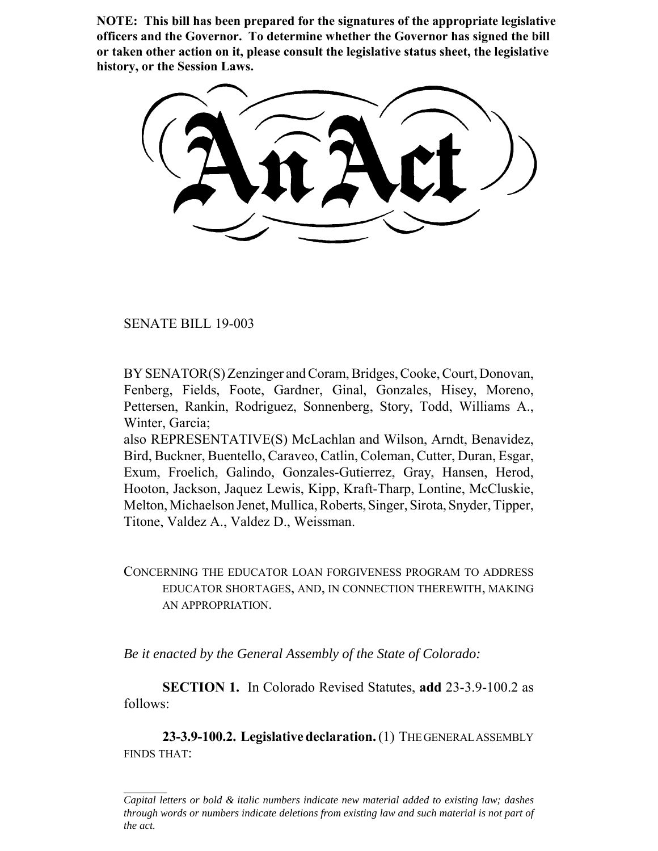**NOTE: This bill has been prepared for the signatures of the appropriate legislative officers and the Governor. To determine whether the Governor has signed the bill or taken other action on it, please consult the legislative status sheet, the legislative history, or the Session Laws.**

SENATE BILL 19-003

BY SENATOR(S) Zenzinger and Coram, Bridges, Cooke, Court, Donovan, Fenberg, Fields, Foote, Gardner, Ginal, Gonzales, Hisey, Moreno, Pettersen, Rankin, Rodriguez, Sonnenberg, Story, Todd, Williams A., Winter, Garcia;

also REPRESENTATIVE(S) McLachlan and Wilson, Arndt, Benavidez, Bird, Buckner, Buentello, Caraveo, Catlin, Coleman, Cutter, Duran, Esgar, Exum, Froelich, Galindo, Gonzales-Gutierrez, Gray, Hansen, Herod, Hooton, Jackson, Jaquez Lewis, Kipp, Kraft-Tharp, Lontine, McCluskie, Melton, Michaelson Jenet, Mullica, Roberts, Singer, Sirota, Snyder, Tipper, Titone, Valdez A., Valdez D., Weissman.

CONCERNING THE EDUCATOR LOAN FORGIVENESS PROGRAM TO ADDRESS EDUCATOR SHORTAGES, AND, IN CONNECTION THEREWITH, MAKING AN APPROPRIATION.

*Be it enacted by the General Assembly of the State of Colorado:*

**SECTION 1.** In Colorado Revised Statutes, **add** 23-3.9-100.2 as follows:

**23-3.9-100.2. Legislative declaration.** (1) THE GENERAL ASSEMBLY FINDS THAT:

*Capital letters or bold & italic numbers indicate new material added to existing law; dashes through words or numbers indicate deletions from existing law and such material is not part of the act.*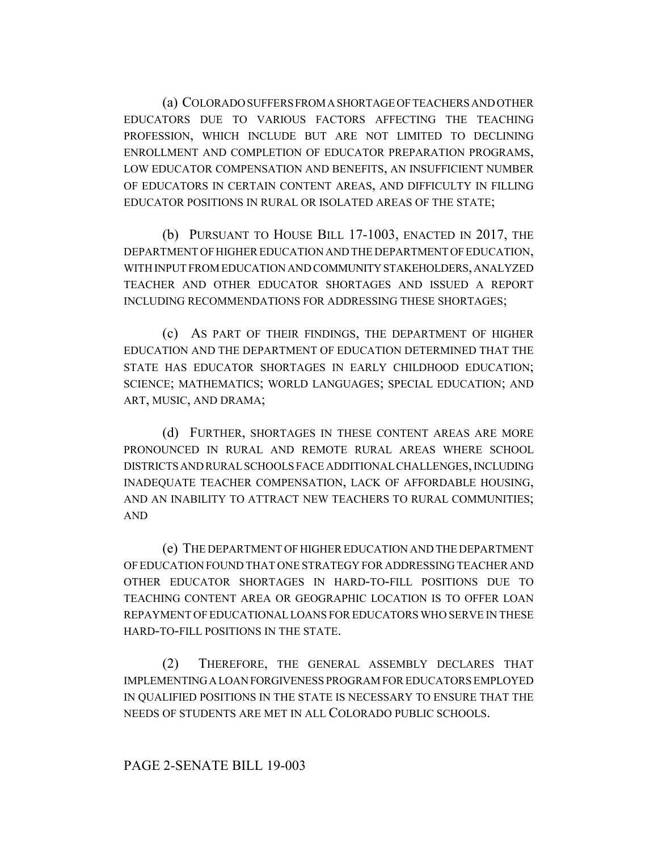(a) COLORADO SUFFERS FROM A SHORTAGE OF TEACHERS AND OTHER EDUCATORS DUE TO VARIOUS FACTORS AFFECTING THE TEACHING PROFESSION, WHICH INCLUDE BUT ARE NOT LIMITED TO DECLINING ENROLLMENT AND COMPLETION OF EDUCATOR PREPARATION PROGRAMS, LOW EDUCATOR COMPENSATION AND BENEFITS, AN INSUFFICIENT NUMBER OF EDUCATORS IN CERTAIN CONTENT AREAS, AND DIFFICULTY IN FILLING EDUCATOR POSITIONS IN RURAL OR ISOLATED AREAS OF THE STATE;

(b) PURSUANT TO HOUSE BILL 17-1003, ENACTED IN 2017, THE DEPARTMENT OF HIGHER EDUCATION AND THE DEPARTMENT OF EDUCATION, WITH INPUT FROM EDUCATION AND COMMUNITY STAKEHOLDERS, ANALYZED TEACHER AND OTHER EDUCATOR SHORTAGES AND ISSUED A REPORT INCLUDING RECOMMENDATIONS FOR ADDRESSING THESE SHORTAGES;

(c) AS PART OF THEIR FINDINGS, THE DEPARTMENT OF HIGHER EDUCATION AND THE DEPARTMENT OF EDUCATION DETERMINED THAT THE STATE HAS EDUCATOR SHORTAGES IN EARLY CHILDHOOD EDUCATION; SCIENCE; MATHEMATICS; WORLD LANGUAGES; SPECIAL EDUCATION; AND ART, MUSIC, AND DRAMA;

(d) FURTHER, SHORTAGES IN THESE CONTENT AREAS ARE MORE PRONOUNCED IN RURAL AND REMOTE RURAL AREAS WHERE SCHOOL DISTRICTS AND RURAL SCHOOLS FACE ADDITIONAL CHALLENGES, INCLUDING INADEQUATE TEACHER COMPENSATION, LACK OF AFFORDABLE HOUSING, AND AN INABILITY TO ATTRACT NEW TEACHERS TO RURAL COMMUNITIES; AND

(e) THE DEPARTMENT OF HIGHER EDUCATION AND THE DEPARTMENT OF EDUCATION FOUND THAT ONE STRATEGY FOR ADDRESSING TEACHER AND OTHER EDUCATOR SHORTAGES IN HARD-TO-FILL POSITIONS DUE TO TEACHING CONTENT AREA OR GEOGRAPHIC LOCATION IS TO OFFER LOAN REPAYMENT OF EDUCATIONAL LOANS FOR EDUCATORS WHO SERVE IN THESE HARD-TO-FILL POSITIONS IN THE STATE.

(2) THEREFORE, THE GENERAL ASSEMBLY DECLARES THAT IMPLEMENTING A LOAN FORGIVENESS PROGRAM FOR EDUCATORS EMPLOYED IN QUALIFIED POSITIONS IN THE STATE IS NECESSARY TO ENSURE THAT THE NEEDS OF STUDENTS ARE MET IN ALL COLORADO PUBLIC SCHOOLS.

## PAGE 2-SENATE BILL 19-003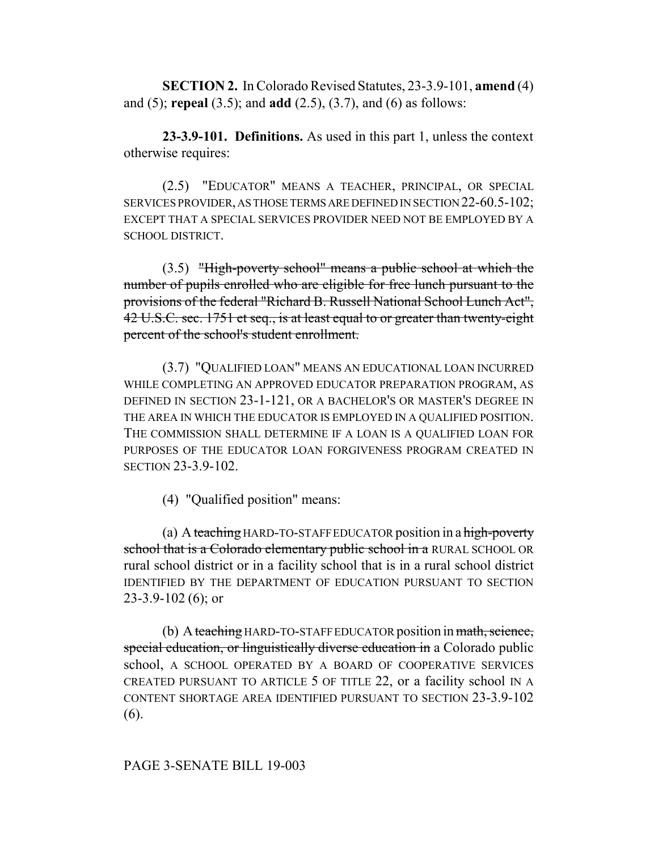**SECTION 2.** In Colorado Revised Statutes, 23-3.9-101, **amend** (4) and (5); **repeal** (3.5); and **add** (2.5), (3.7), and (6) as follows:

**23-3.9-101. Definitions.** As used in this part 1, unless the context otherwise requires:

(2.5) "EDUCATOR" MEANS A TEACHER, PRINCIPAL, OR SPECIAL SERVICES PROVIDER, AS THOSE TERMS ARE DEFINED IN SECTION 22-60.5-102; EXCEPT THAT A SPECIAL SERVICES PROVIDER NEED NOT BE EMPLOYED BY A SCHOOL DISTRICT.

(3.5) "High-poverty school" means a public school at which the number of pupils enrolled who are eligible for free lunch pursuant to the provisions of the federal "Richard B. Russell National School Lunch Act", 42 U.S.C. sec. 1751 et seq., is at least equal to or greater than twenty-eight percent of the school's student enrollment.

(3.7) "QUALIFIED LOAN" MEANS AN EDUCATIONAL LOAN INCURRED WHILE COMPLETING AN APPROVED EDUCATOR PREPARATION PROGRAM, AS DEFINED IN SECTION 23-1-121, OR A BACHELOR'S OR MASTER'S DEGREE IN THE AREA IN WHICH THE EDUCATOR IS EMPLOYED IN A QUALIFIED POSITION. THE COMMISSION SHALL DETERMINE IF A LOAN IS A QUALIFIED LOAN FOR PURPOSES OF THE EDUCATOR LOAN FORGIVENESS PROGRAM CREATED IN SECTION 23-3.9-102.

(4) "Qualified position" means:

(a) A teaching HARD-TO-STAFF EDUCATOR position in a high-poverty school that is a Colorado elementary public school in a RURAL SCHOOL OR rural school district or in a facility school that is in a rural school district IDENTIFIED BY THE DEPARTMENT OF EDUCATION PURSUANT TO SECTION 23-3.9-102 (6); or

(b) A teaching HARD-TO-STAFF EDUCATOR position in math, science, special education, or linguistically diverse education in a Colorado public school, A SCHOOL OPERATED BY A BOARD OF COOPERATIVE SERVICES CREATED PURSUANT TO ARTICLE 5 OF TITLE 22, or a facility school IN A CONTENT SHORTAGE AREA IDENTIFIED PURSUANT TO SECTION 23-3.9-102 (6).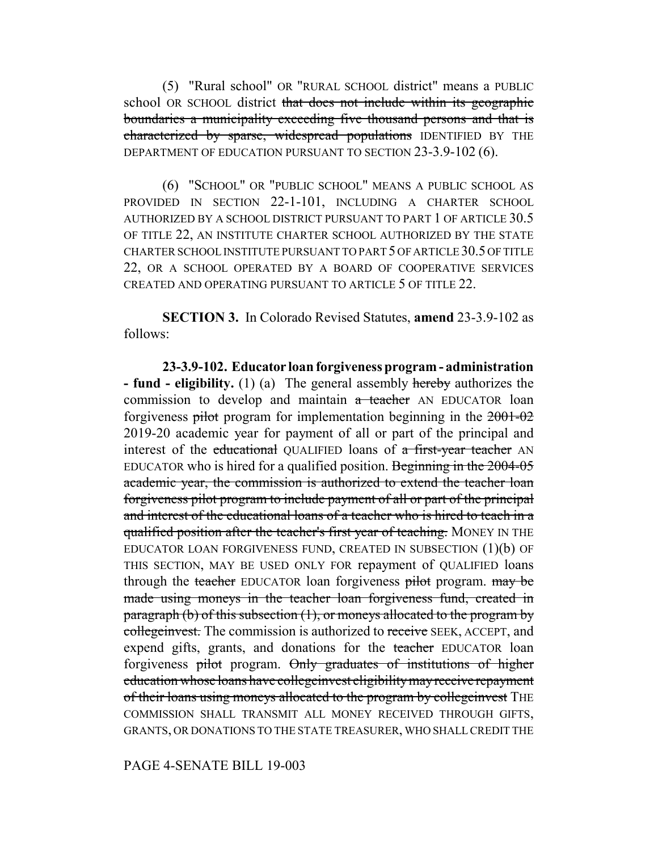(5) "Rural school" OR "RURAL SCHOOL district" means a PUBLIC school OR SCHOOL district that does not include within its geographic boundaries a municipality exceeding five thousand persons and that is characterized by sparse, widespread populations IDENTIFIED BY THE DEPARTMENT OF EDUCATION PURSUANT TO SECTION 23-3.9-102 (6).

(6) "SCHOOL" OR "PUBLIC SCHOOL" MEANS A PUBLIC SCHOOL AS PROVIDED IN SECTION 22-1-101, INCLUDING A CHARTER SCHOOL AUTHORIZED BY A SCHOOL DISTRICT PURSUANT TO PART 1 OF ARTICLE 30.5 OF TITLE 22, AN INSTITUTE CHARTER SCHOOL AUTHORIZED BY THE STATE CHARTER SCHOOL INSTITUTE PURSUANT TO PART 5 OF ARTICLE 30.5 OF TITLE 22, OR A SCHOOL OPERATED BY A BOARD OF COOPERATIVE SERVICES CREATED AND OPERATING PURSUANT TO ARTICLE 5 OF TITLE 22.

**SECTION 3.** In Colorado Revised Statutes, **amend** 23-3.9-102 as follows:

**23-3.9-102. Educator loan forgiveness program - administration - fund - eligibility.** (1) (a) The general assembly hereby authorizes the commission to develop and maintain a teacher AN EDUCATOR loan forgiveness pilot program for implementation beginning in the 2001-02 2019-20 academic year for payment of all or part of the principal and interest of the educational QUALIFIED loans of a first-year teacher AN EDUCATOR who is hired for a qualified position. Beginning in the 2004-05 academic year, the commission is authorized to extend the teacher loan forgiveness pilot program to include payment of all or part of the principal and interest of the educational loans of a teacher who is hired to teach in a qualified position after the teacher's first year of teaching. MONEY IN THE EDUCATOR LOAN FORGIVENESS FUND, CREATED IN SUBSECTION  $(1)(b)$  OF THIS SECTION, MAY BE USED ONLY FOR repayment of QUALIFIED loans through the teacher EDUCATOR loan forgiveness pilot program. may be made using moneys in the teacher loan forgiveness fund, created in paragraph (b) of this subsection  $(1)$ , or moneys allocated to the program by collegeinvest. The commission is authorized to receive SEEK, ACCEPT, and expend gifts, grants, and donations for the teacher EDUCATOR loan forgiveness pilot program. Only graduates of institutions of higher education whose loans have collegeinvest eligibility may receive repayment of their loans using moneys allocated to the program by collegeinvest THE COMMISSION SHALL TRANSMIT ALL MONEY RECEIVED THROUGH GIFTS, GRANTS, OR DONATIONS TO THE STATE TREASURER, WHO SHALL CREDIT THE

PAGE 4-SENATE BILL 19-003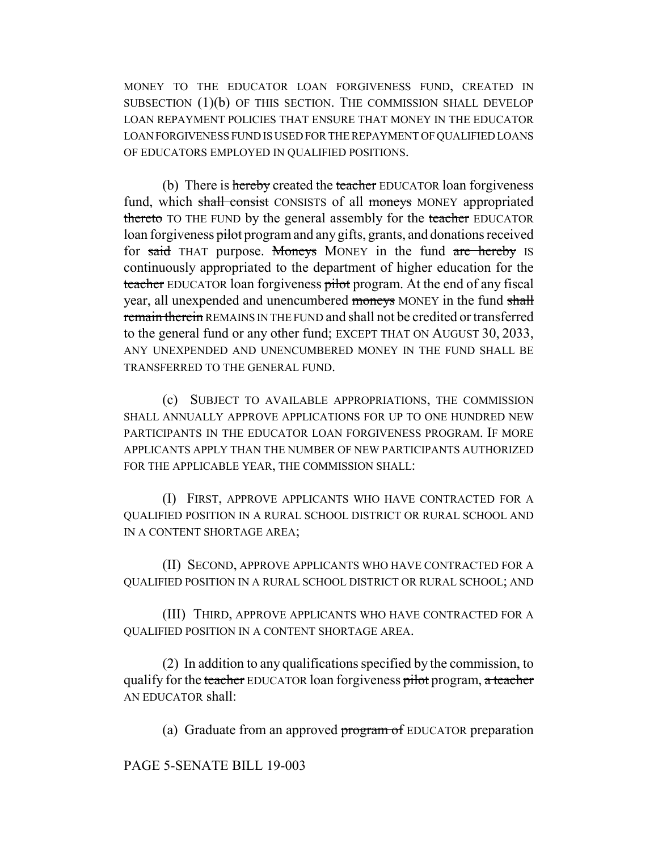MONEY TO THE EDUCATOR LOAN FORGIVENESS FUND, CREATED IN SUBSECTION (1)(b) OF THIS SECTION. THE COMMISSION SHALL DEVELOP LOAN REPAYMENT POLICIES THAT ENSURE THAT MONEY IN THE EDUCATOR LOAN FORGIVENESS FUND IS USED FOR THE REPAYMENT OF QUALIFIED LOANS OF EDUCATORS EMPLOYED IN QUALIFIED POSITIONS.

(b) There is hereby created the teacher EDUCATOR loan forgiveness fund, which shall consist CONSISTS of all moneys MONEY appropriated thereto TO THE FUND by the general assembly for the teacher EDUCATOR loan forgiveness pilot program and any gifts, grants, and donations received for said THAT purpose. Moneys MONEY in the fund are hereby IS continuously appropriated to the department of higher education for the teacher EDUCATOR loan forgiveness pilot program. At the end of any fiscal year, all unexpended and unencumbered moneys MONEY in the fund shall remain therein REMAINS IN THE FUND and shall not be credited or transferred to the general fund or any other fund; EXCEPT THAT ON AUGUST 30, 2033, ANY UNEXPENDED AND UNENCUMBERED MONEY IN THE FUND SHALL BE TRANSFERRED TO THE GENERAL FUND.

(c) SUBJECT TO AVAILABLE APPROPRIATIONS, THE COMMISSION SHALL ANNUALLY APPROVE APPLICATIONS FOR UP TO ONE HUNDRED NEW PARTICIPANTS IN THE EDUCATOR LOAN FORGIVENESS PROGRAM. IF MORE APPLICANTS APPLY THAN THE NUMBER OF NEW PARTICIPANTS AUTHORIZED FOR THE APPLICABLE YEAR, THE COMMISSION SHALL:

(I) FIRST, APPROVE APPLICANTS WHO HAVE CONTRACTED FOR A QUALIFIED POSITION IN A RURAL SCHOOL DISTRICT OR RURAL SCHOOL AND IN A CONTENT SHORTAGE AREA;

(II) SECOND, APPROVE APPLICANTS WHO HAVE CONTRACTED FOR A QUALIFIED POSITION IN A RURAL SCHOOL DISTRICT OR RURAL SCHOOL; AND

(III) THIRD, APPROVE APPLICANTS WHO HAVE CONTRACTED FOR A QUALIFIED POSITION IN A CONTENT SHORTAGE AREA.

(2) In addition to any qualifications specified by the commission, to qualify for the teacher EDUCATOR loan forgiveness pilot program, a teacher AN EDUCATOR shall:

(a) Graduate from an approved program of EDUCATOR preparation

PAGE 5-SENATE BILL 19-003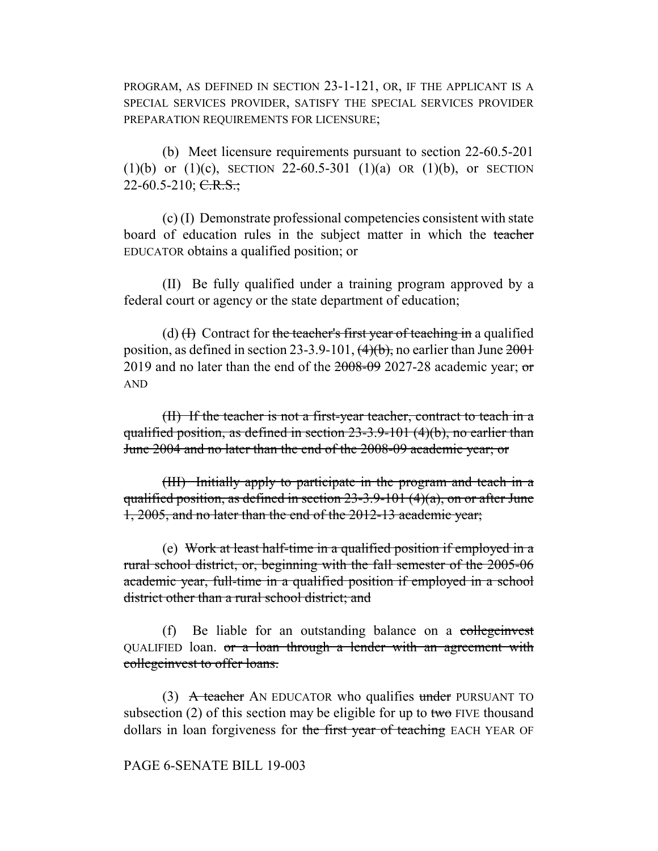PROGRAM, AS DEFINED IN SECTION 23-1-121, OR, IF THE APPLICANT IS A SPECIAL SERVICES PROVIDER, SATISFY THE SPECIAL SERVICES PROVIDER PREPARATION REQUIREMENTS FOR LICENSURE;

(b) Meet licensure requirements pursuant to section 22-60.5-201 (1)(b) or (1)(c), SECTION 22-60.5-301 (1)(a) OR (1)(b), or SECTION  $22-60.5-210$ ; C.R.S.;

(c) (I) Demonstrate professional competencies consistent with state board of education rules in the subject matter in which the teacher EDUCATOR obtains a qualified position; or

(II) Be fully qualified under a training program approved by a federal court or agency or the state department of education;

(d)  $(H)$  Contract for the teacher's first year of teaching in a qualified position, as defined in section 23-3.9-101,  $\left(4\right)$  h, no earlier than June  $2001$ 2019 and no later than the end of the  $2008-09$  2027-28 academic year; or AND

(II) If the teacher is not a first-year teacher, contract to teach in a qualified position, as defined in section 23-3.9-101 (4)(b), no earlier than June 2004 and no later than the end of the 2008-09 academic year; or

(III) Initially apply to participate in the program and teach in a qualified position, as defined in section  $23-3.9-101$  (4)(a), on or after June 1, 2005, and no later than the end of the 2012-13 academic year;

(e) Work at least half-time in a qualified position if employed in a rural school district, or, beginning with the fall semester of the 2005-06 academic year, full-time in a qualified position if employed in a school district other than a rural school district; and

(f) Be liable for an outstanding balance on a collegenvest QUALIFIED loan. or a loan through a lender with an agreement with collegeinvest to offer loans.

(3) A teacher AN EDUCATOR who qualifies under PURSUANT TO subsection (2) of this section may be eligible for up to two FIVE thousand dollars in loan forgiveness for the first year of teaching EACH YEAR OF

## PAGE 6-SENATE BILL 19-003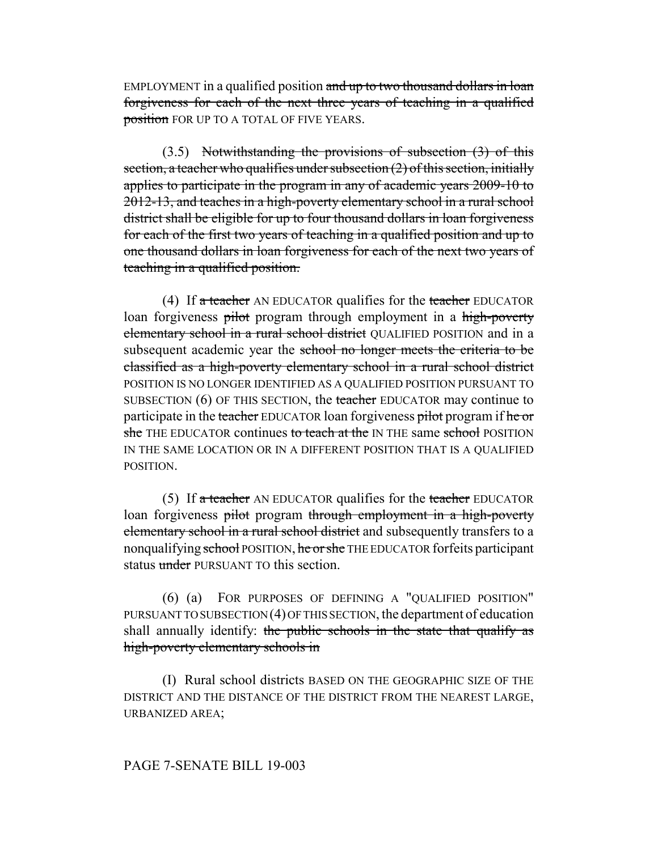EMPLOYMENT in a qualified position and up to two thousand dollars in loan forgiveness for each of the next three years of teaching in a qualified position FOR UP TO A TOTAL OF FIVE YEARS.

 $(3.5)$  Notwithstanding the provisions of subsection  $(3)$  of this section, a teacher who qualifies under subsection  $(2)$  of this section, initially applies to participate in the program in any of academic years 2009-10 to 2012-13, and teaches in a high-poverty elementary school in a rural school district shall be eligible for up to four thousand dollars in loan forgiveness for each of the first two years of teaching in a qualified position and up to one thousand dollars in loan forgiveness for each of the next two years of teaching in a qualified position.

(4) If  $\alpha$  teacher AN EDUCATOR qualifies for the teacher EDUCATOR loan forgiveness pilot program through employment in a high-poverty elementary school in a rural school district QUALIFIED POSITION and in a subsequent academic year the school no longer meets the criteria to be classified as a high-poverty elementary school in a rural school district POSITION IS NO LONGER IDENTIFIED AS A QUALIFIED POSITION PURSUANT TO SUBSECTION (6) OF THIS SECTION, the teacher EDUCATOR may continue to participate in the teacher EDUCATOR loan forgiveness pilot program if he or she THE EDUCATOR continues to teach at the IN THE same school POSITION IN THE SAME LOCATION OR IN A DIFFERENT POSITION THAT IS A QUALIFIED **POSITION** 

(5) If a teacher AN EDUCATOR qualifies for the teacher EDUCATOR loan forgiveness pilot program through employment in a high-poverty elementary school in a rural school district and subsequently transfers to a nonqualifying school POSITION, he or she THE EDUCATOR forfeits participant status under PURSUANT TO this section.

(6) (a) FOR PURPOSES OF DEFINING A "QUALIFIED POSITION" PURSUANT TO SUBSECTION (4) OF THIS SECTION, the department of education shall annually identify: the public schools in the state that qualify as high-poverty elementary schools in

(I) Rural school districts BASED ON THE GEOGRAPHIC SIZE OF THE DISTRICT AND THE DISTANCE OF THE DISTRICT FROM THE NEAREST LARGE, URBANIZED AREA;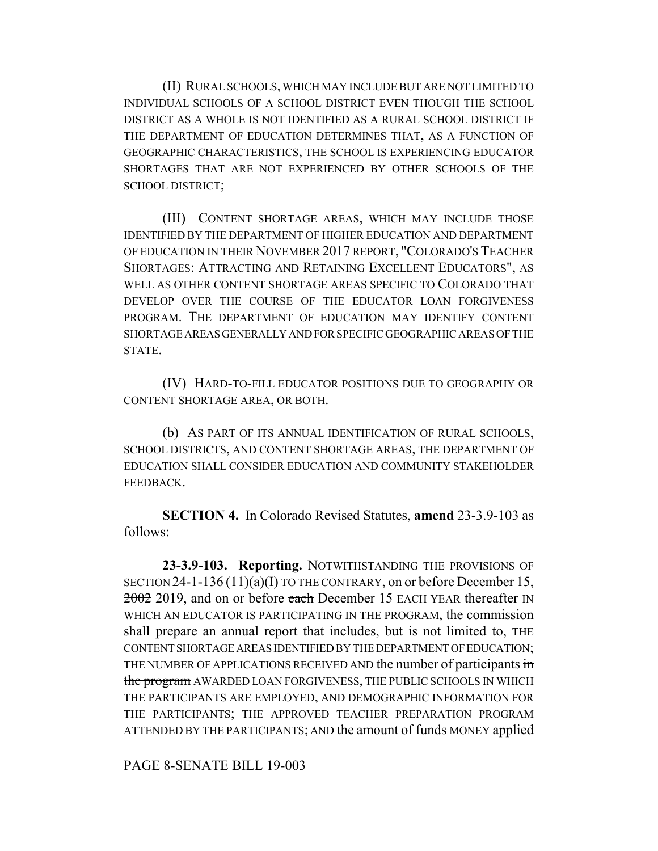(II) RURAL SCHOOLS, WHICH MAY INCLUDE BUT ARE NOT LIMITED TO INDIVIDUAL SCHOOLS OF A SCHOOL DISTRICT EVEN THOUGH THE SCHOOL DISTRICT AS A WHOLE IS NOT IDENTIFIED AS A RURAL SCHOOL DISTRICT IF THE DEPARTMENT OF EDUCATION DETERMINES THAT, AS A FUNCTION OF GEOGRAPHIC CHARACTERISTICS, THE SCHOOL IS EXPERIENCING EDUCATOR SHORTAGES THAT ARE NOT EXPERIENCED BY OTHER SCHOOLS OF THE SCHOOL DISTRICT;

(III) CONTENT SHORTAGE AREAS, WHICH MAY INCLUDE THOSE IDENTIFIED BY THE DEPARTMENT OF HIGHER EDUCATION AND DEPARTMENT OF EDUCATION IN THEIR NOVEMBER 2017 REPORT, "COLORADO'S TEACHER SHORTAGES: ATTRACTING AND RETAINING EXCELLENT EDUCATORS", AS WELL AS OTHER CONTENT SHORTAGE AREAS SPECIFIC TO COLORADO THAT DEVELOP OVER THE COURSE OF THE EDUCATOR LOAN FORGIVENESS PROGRAM. THE DEPARTMENT OF EDUCATION MAY IDENTIFY CONTENT SHORTAGE AREAS GENERALLY AND FOR SPECIFIC GEOGRAPHIC AREAS OF THE STATE.

(IV) HARD-TO-FILL EDUCATOR POSITIONS DUE TO GEOGRAPHY OR CONTENT SHORTAGE AREA, OR BOTH.

(b) AS PART OF ITS ANNUAL IDENTIFICATION OF RURAL SCHOOLS, SCHOOL DISTRICTS, AND CONTENT SHORTAGE AREAS, THE DEPARTMENT OF EDUCATION SHALL CONSIDER EDUCATION AND COMMUNITY STAKEHOLDER FEEDBACK.

**SECTION 4.** In Colorado Revised Statutes, **amend** 23-3.9-103 as follows:

**23-3.9-103. Reporting.** NOTWITHSTANDING THE PROVISIONS OF SECTION 24-1-136 (11)(a)(I) TO THE CONTRARY, on or before December 15, 2002 2019, and on or before each December 15 EACH YEAR thereafter IN WHICH AN EDUCATOR IS PARTICIPATING IN THE PROGRAM, the commission shall prepare an annual report that includes, but is not limited to, THE CONTENT SHORTAGE AREAS IDENTIFIED BY THE DEPARTMENT OF EDUCATION; THE NUMBER OF APPLICATIONS RECEIVED AND the number of participants in the program AWARDED LOAN FORGIVENESS, THE PUBLIC SCHOOLS IN WHICH THE PARTICIPANTS ARE EMPLOYED, AND DEMOGRAPHIC INFORMATION FOR THE PARTICIPANTS; THE APPROVED TEACHER PREPARATION PROGRAM ATTENDED BY THE PARTICIPANTS; AND the amount of funds MONEY applied

PAGE 8-SENATE BILL 19-003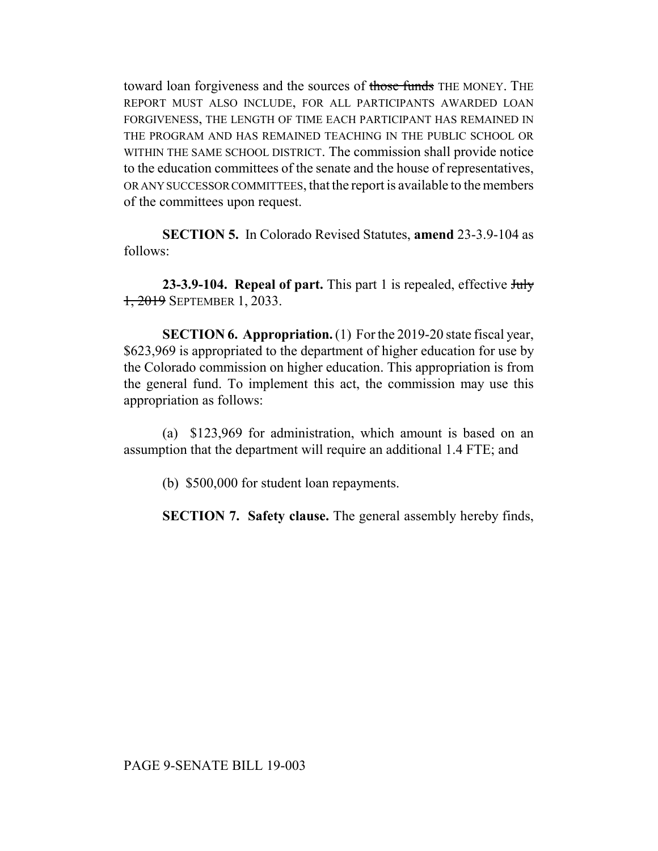toward loan forgiveness and the sources of those funds THE MONEY. THE REPORT MUST ALSO INCLUDE, FOR ALL PARTICIPANTS AWARDED LOAN FORGIVENESS, THE LENGTH OF TIME EACH PARTICIPANT HAS REMAINED IN THE PROGRAM AND HAS REMAINED TEACHING IN THE PUBLIC SCHOOL OR WITHIN THE SAME SCHOOL DISTRICT. The commission shall provide notice to the education committees of the senate and the house of representatives, OR ANY SUCCESSOR COMMITTEES, that the report is available to the members of the committees upon request.

**SECTION 5.** In Colorado Revised Statutes, **amend** 23-3.9-104 as follows:

**23-3.9-104. Repeal of part.** This part 1 is repealed, effective July 1, 2019 SEPTEMBER 1, 2033.

**SECTION 6. Appropriation.** (1) For the 2019-20 state fiscal year, \$623,969 is appropriated to the department of higher education for use by the Colorado commission on higher education. This appropriation is from the general fund. To implement this act, the commission may use this appropriation as follows:

(a) \$123,969 for administration, which amount is based on an assumption that the department will require an additional 1.4 FTE; and

(b) \$500,000 for student loan repayments.

**SECTION 7. Safety clause.** The general assembly hereby finds,